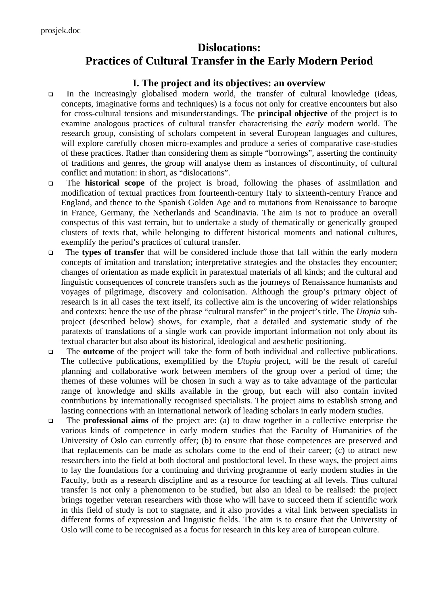# **Dislocations: Practices of Cultural Transfer in the Early Modern Period**

## **I. The project and its objectives: an overview**

- In the increasingly globalised modern world, the transfer of cultural knowledge (ideas, concepts, imaginative forms and techniques) is a focus not only for creative encounters but also for cross-cultural tensions and misunderstandings. The **principal objective** of the project is to examine analogous practices of cultural transfer characterising the *early* modern world. The research group, consisting of scholars competent in several European languages and cultures, will explore carefully chosen micro-examples and produce a series of comparative case-studies of these practices. Rather than considering them as simple "borrowings", asserting the continuity of traditions and genres, the group will analyse them as instances of *dis*continuity, of cultural conflict and mutation: in short, as "dislocations".
- The **historical scope** of the project is broad, following the phases of assimilation and modification of textual practices from fourteenth-century Italy to sixteenth-century France and England, and thence to the Spanish Golden Age and to mutations from Renaissance to baroque in France, Germany, the Netherlands and Scandinavia. The aim is not to produce an overall conspectus of this vast terrain, but to undertake a study of thematically or generically grouped clusters of texts that, while belonging to different historical moments and national cultures, exemplify the period's practices of cultural transfer.
- The **types of transfer** that will be considered include those that fall within the early modern concepts of imitation and translation; interpretative strategies and the obstacles they encounter; changes of orientation as made explicit in paratextual materials of all kinds; and the cultural and linguistic consequences of concrete transfers such as the journeys of Renaissance humanists and voyages of pilgrimage, discovery and colonisation. Although the group's primary object of research is in all cases the text itself, its collective aim is the uncovering of wider relationships and contexts: hence the use of the phrase "cultural transfer" in the project's title. The *Utopia* subproject (described below) shows, for example, that a detailed and systematic study of the paratexts of translations of a single work can provide important information not only about its textual character but also about its historical, ideological and aesthetic positioning.
- The **outcome** of the project will take the form of both individual and collective publications. The collective publications, exemplified by the *Utopia* project, will be the result of careful planning and collaborative work between members of the group over a period of time; the themes of these volumes will be chosen in such a way as to take advantage of the particular range of knowledge and skills available in the group, but each will also contain invited contributions by internationally recognised specialists. The project aims to establish strong and lasting connections with an international network of leading scholars in early modern studies.
- The **professional aims** of the project are: (a) to draw together in a collective enterprise the various kinds of competence in early modern studies that the Faculty of Humanities of the University of Oslo can currently offer; (b) to ensure that those competences are preserved and that replacements can be made as scholars come to the end of their career; (c) to attract new researchers into the field at both doctoral and postdoctoral level. In these ways, the project aims to lay the foundations for a continuing and thriving programme of early modern studies in the Faculty, both as a research discipline and as a resource for teaching at all levels. Thus cultural transfer is not only a phenomenon to be studied, but also an ideal to be realised: the project brings together veteran researchers with those who will have to succeed them if scientific work in this field of study is not to stagnate, and it also provides a vital link between specialists in different forms of expression and linguistic fields. The aim is to ensure that the University of Oslo will come to be recognised as a focus for research in this key area of European culture.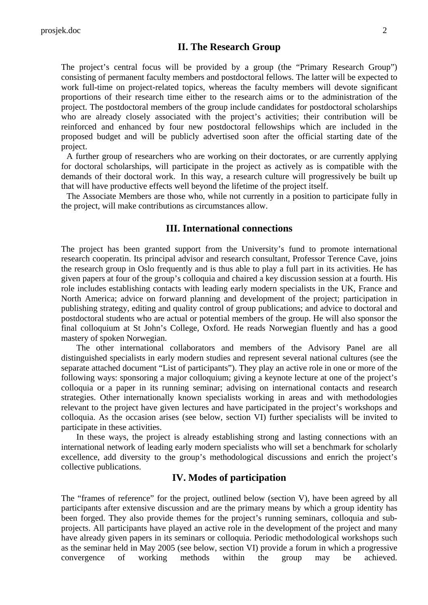## **II. The Research Group**

The project's central focus will be provided by a group (the "Primary Research Group") consisting of permanent faculty members and postdoctoral fellows. The latter will be expected to work full-time on project-related topics, whereas the faculty members will devote significant proportions of their research time either to the research aims or to the administration of the project. The postdoctoral members of the group include candidates for postdoctoral scholarships who are already closely associated with the project's activities; their contribution will be reinforced and enhanced by four new postdoctoral fellowships which are included in the proposed budget and will be publicly advertised soon after the official starting date of the project.

A further group of researchers who are working on their doctorates, or are currently applying for doctoral scholarships, will participate in the project as actively as is compatible with the demands of their doctoral work. In this way, a research culture will progressively be built up that will have productive effects well beyond the lifetime of the project itself.

The Associate Members are those who, while not currently in a position to participate fully in the project, will make contributions as circumstances allow.

### **III. International connections**

The project has been granted support from the University's fund to promote international research cooperatin. Its principal advisor and research consultant, Professor Terence Cave, joins the research group in Oslo frequently and is thus able to play a full part in its activities. He has given papers at four of the group's colloquia and chaired a key discussion session at a fourth. His role includes establishing contacts with leading early modern specialists in the UK, France and North America; advice on forward planning and development of the project; participation in publishing strategy, editing and quality control of group publications; and advice to doctoral and postdoctoral students who are actual or potential members of the group. He will also sponsor the final colloquium at St John's College, Oxford. He reads Norwegian fluently and has a good mastery of spoken Norwegian.

The other international collaborators and members of the Advisory Panel are all distinguished specialists in early modern studies and represent several national cultures (see the separate attached document "List of participants"). They play an active role in one or more of the following ways: sponsoring a major colloquium; giving a keynote lecture at one of the project's colloquia or a paper in its running seminar; advising on international contacts and research strategies. Other internationally known specialists working in areas and with methodologies relevant to the project have given lectures and have participated in the project's workshops and colloquia. As the occasion arises (see below, section VI) further specialists will be invited to participate in these activities.

In these ways, the project is already establishing strong and lasting connections with an international network of leading early modern specialists who will set a benchmark for scholarly excellence, add diversity to the group's methodological discussions and enrich the project's collective publications.

## **IV. Modes of participation**

The "frames of reference" for the project, outlined below (section V), have been agreed by all participants after extensive discussion and are the primary means by which a group identity has been forged. They also provide themes for the project's running seminars, colloquia and subprojects. All participants have played an active role in the development of the project and many have already given papers in its seminars or colloquia. Periodic methodological workshops such as the seminar held in May 2005 (see below, section VI) provide a forum in which a progressive convergence of working methods within the group may be achieved.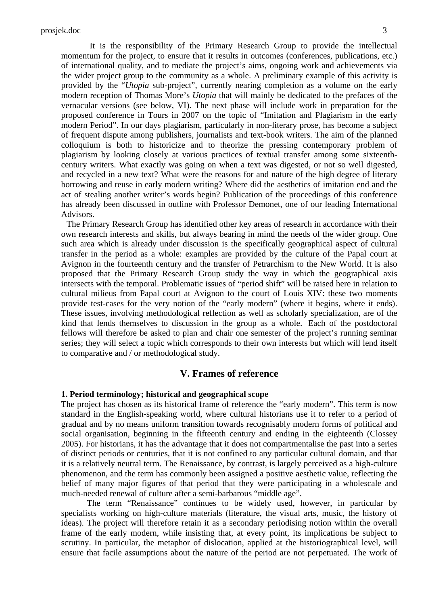It is the responsibility of the Primary Research Group to provide the intellectual momentum for the project, to ensure that it results in outcomes (conferences, publications, etc.) of international quality, and to mediate the project's aims, ongoing work and achievements via the wider project group to the community as a whole. A preliminary example of this activity is provided by the "*Utopia* sub-project", currently nearing completion as a volume on the early modern reception of Thomas More's *Utopia* that will mainly be dedicated to the prefaces of the vernacular versions (see below, VI). The next phase will include work in preparation for the proposed conference in Tours in 2007 on the topic of "Imitation and Plagiarism in the early modern Period". In our days plagiarism, particularly in non-literary prose, has become a subject of frequent dispute among publishers, journalists and text-book writers. The aim of the planned colloquium is both to historicize and to theorize the pressing contemporary problem of plagiarism by looking closely at various practices of textual transfer among some sixteenthcentury writers. What exactly was going on when a text was digested, or not so well digested, and recycled in a new text? What were the reasons for and nature of the high degree of literary borrowing and reuse in early modern writing? Where did the aesthetics of imitation end and the act of stealing another writer's words begin? Publication of the proceedings of this conference has already been discussed in outline with Professor Demonet, one of our leading International Advisors.

The Primary Research Group has identified other key areas of research in accordance with their own research interests and skills, but always bearing in mind the needs of the wider group. One such area which is already under discussion is the specifically geographical aspect of cultural transfer in the period as a whole: examples are provided by the culture of the Papal court at Avignon in the fourteenth century and the transfer of Petrarchism to the New World. It is also proposed that the Primary Research Group study the way in which the geographical axis intersects with the temporal. Problematic issues of "period shift" will be raised here in relation to cultural milieus from Papal court at Avignon to the court of Louis XIV: these two moments provide test-cases for the very notion of the "early modern" (where it begins, where it ends). These issues, involving methodological reflection as well as scholarly specialization, are of the kind that lends themselves to discussion in the group as a whole. Each of the postdoctoral fellows will therefore be asked to plan and chair one semester of the project's running seminar series; they will select a topic which corresponds to their own interests but which will lend itself to comparative and / or methodological study.

## **V. Frames of reference**

#### **1. Period terminology; historical and geographical scope**

The project has chosen as its historical frame of reference the "early modern". This term is now standard in the English-speaking world, where cultural historians use it to refer to a period of gradual and by no means uniform transition towards recognisably modern forms of political and social organisation, beginning in the fifteenth century and ending in the eighteenth (Clossey 2005). For historians, it has the advantage that it does not compartmentalise the past into a series of distinct periods or centuries, that it is not confined to any particular cultural domain, and that it is a relatively neutral term. The Renaissance, by contrast, is largely perceived as a high-culture phenomenon, and the term has commonly been assigned a positive aesthetic value, reflecting the belief of many major figures of that period that they were participating in a wholescale and much-needed renewal of culture after a semi-barbarous "middle age".

The term "Renaissance" continues to be widely used, however, in particular by specialists working on high-culture materials (literature, the visual arts, music, the history of ideas). The project will therefore retain it as a secondary periodising notion within the overall frame of the early modern, while insisting that, at every point, its implications be subject to scrutiny. In particular, the metaphor of dislocation, applied at the historiographical level, will ensure that facile assumptions about the nature of the period are not perpetuated. The work of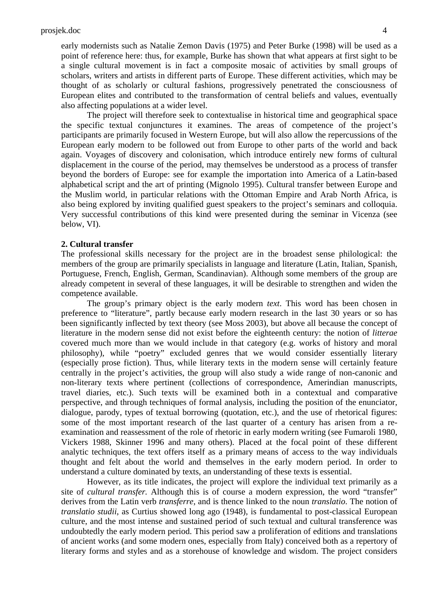early modernists such as Natalie Zemon Davis (1975) and Peter Burke (1998) will be used as a point of reference here: thus, for example, Burke has shown that what appears at first sight to be a single cultural movement is in fact a composite mosaic of activities by small groups of scholars, writers and artists in different parts of Europe. These different activities, which may be thought of as scholarly or cultural fashions, progressively penetrated the consciousness of European elites and contributed to the transformation of central beliefs and values, eventually also affecting populations at a wider level.

The project will therefore seek to contextualise in historical time and geographical space the specific textual conjunctures it examines. The areas of competence of the project's participants are primarily focused in Western Europe, but will also allow the repercussions of the European early modern to be followed out from Europe to other parts of the world and back again. Voyages of discovery and colonisation, which introduce entirely new forms of cultural displacement in the course of the period, may themselves be understood as a process of transfer beyond the borders of Europe: see for example the importation into America of a Latin-based alphabetical script and the art of printing (Mignolo 1995). Cultural transfer between Europe and the Muslim world, in particular relations with the Ottoman Empire and Arab North Africa, is also being explored by inviting qualified guest speakers to the project's seminars and colloquia. Very successful contributions of this kind were presented during the seminar in Vicenza (see below, VI).

#### **2. Cultural transfer**

The professional skills necessary for the project are in the broadest sense philological: the members of the group are primarily specialists in language and literature (Latin, Italian, Spanish, Portuguese, French, English, German, Scandinavian). Although some members of the group are already competent in several of these languages, it will be desirable to strengthen and widen the competence available.

The group's primary object is the early modern *text*. This word has been chosen in preference to "literature", partly because early modern research in the last 30 years or so has been significantly inflected by text theory (see Moss 2003), but above all because the concept of literature in the modern sense did not exist before the eighteenth century: the notion of *litterae* covered much more than we would include in that category (e.g. works of history and moral philosophy), while "poetry" excluded genres that we would consider essentially literary (especially prose fiction). Thus, while literary texts in the modern sense will certainly feature centrally in the project's activities, the group will also study a wide range of non-canonic and non-literary texts where pertinent (collections of correspondence, Amerindian manuscripts, travel diaries, etc.). Such texts will be examined both in a contextual and comparative perspective, and through techniques of formal analysis, including the position of the enunciator, dialogue, parody, types of textual borrowing (quotation, etc.), and the use of rhetorical figures: some of the most important research of the last quarter of a century has arisen from a reexamination and reassessment of the role of rhetoric in early modern writing (see Fumaroli 1980, Vickers 1988, Skinner 1996 and many others). Placed at the focal point of these different analytic techniques, the text offers itself as a primary means of access to the way individuals thought and felt about the world and themselves in the early modern period. In order to understand a culture dominated by texts, an understanding of these texts is essential.

However, as its title indicates, the project will explore the individual text primarily as a site of *cultural transfer.* Although this is of course a modern expression, the word "transfer" derives from the Latin verb *transferre*, and is thence linked to the noun *translatio*. The notion of *translatio studii*, as Curtius showed long ago (1948), is fundamental to post-classical European culture, and the most intense and sustained period of such textual and cultural transference was undoubtedly the early modern period. This period saw a proliferation of editions and translations of ancient works (and some modern ones, especially from Italy) conceived both as a repertory of literary forms and styles and as a storehouse of knowledge and wisdom. The project considers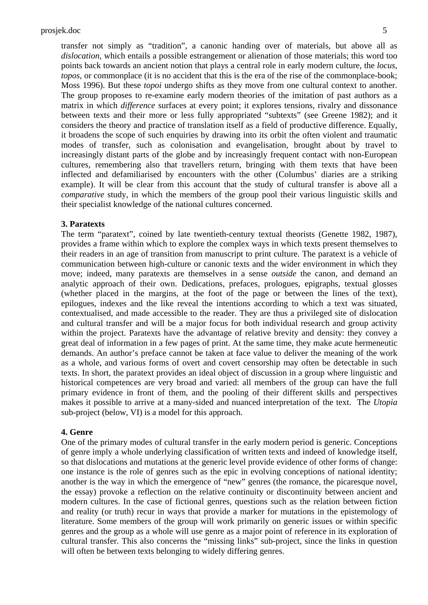transfer not simply as "tradition", a canonic handing over of materials, but above all as *dislocation*, which entails a possible estrangement or alienation of those materials; this word too points back towards an ancient notion that plays a central role in early modern culture, the *locus*, *topos*, or commonplace (it is no accident that this is the era of the rise of the commonplace-book; Moss 1996). But these *topoi* undergo shifts as they move from one cultural context to another. The group proposes to re-examine early modern theories of the imitation of past authors as a matrix in which *difference* surfaces at every point; it explores tensions, rivalry and dissonance between texts and their more or less fully appropriated "subtexts" (see Greene 1982); and it considers the theory and practice of translation itself as a field of productive difference. Equally, it broadens the scope of such enquiries by drawing into its orbit the often violent and traumatic modes of transfer, such as colonisation and evangelisation, brought about by travel to increasingly distant parts of the globe and by increasingly frequent contact with non-European cultures, remembering also that travellers return, bringing with them texts that have been inflected and defamiliarised by encounters with the other (Columbus' diaries are a striking example). It will be clear from this account that the study of cultural transfer is above all a *comparative* study, in which the members of the group pool their various linguistic skills and their specialist knowledge of the national cultures concerned.

#### **3. Paratexts**

The term "paratext", coined by late twentieth-century textual theorists (Genette 1982, 1987), provides a frame within which to explore the complex ways in which texts present themselves to their readers in an age of transition from manuscript to print culture. The paratext is a vehicle of communication between high-culture or canonic texts and the wider environment in which they move; indeed, many paratexts are themselves in a sense *outside* the canon, and demand an analytic approach of their own. Dedications, prefaces, prologues, epigraphs, textual glosses (whether placed in the margins, at the foot of the page or between the lines of the text), epilogues, indexes and the like reveal the intentions according to which a text was situated, contextualised, and made accessible to the reader. They are thus a privileged site of dislocation and cultural transfer and will be a major focus for both individual research and group activity within the project. Paratexts have the advantage of relative brevity and density: they convey a great deal of information in a few pages of print. At the same time, they make acute hermeneutic demands. An author's preface cannot be taken at face value to deliver the meaning of the work as a whole, and various forms of overt and covert censorship may often be detectable in such texts. In short, the paratext provides an ideal object of discussion in a group where linguistic and historical competences are very broad and varied: all members of the group can have the full primary evidence in front of them, and the pooling of their different skills and perspectives makes it possible to arrive at a many-sided and nuanced interpretation of the text. The *Utopia* sub-project (below, VI) is a model for this approach.

#### **4. Genre**

One of the primary modes of cultural transfer in the early modern period is generic. Conceptions of genre imply a whole underlying classification of written texts and indeed of knowledge itself, so that dislocations and mutations at the generic level provide evidence of other forms of change: one instance is the role of genres such as the epic in evolving conceptions of national identity; another is the way in which the emergence of "new" genres (the romance, the picaresque novel, the essay) provoke a reflection on the relative continuity or discontinuity between ancient and modern cultures. In the case of fictional genres, questions such as the relation between fiction and reality (or truth) recur in ways that provide a marker for mutations in the epistemology of literature. Some members of the group will work primarily on generic issues or within specific genres and the group as a whole will use genre as a major point of reference in its exploration of cultural transfer. This also concerns the "missing links" sub-project, since the links in question will often be between texts belonging to widely differing genres.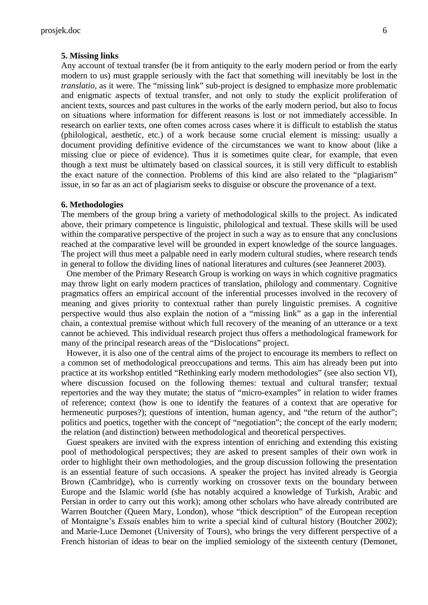#### **5. Missing links**

Any account of textual transfer (be it from antiquity to the early modern period or from the early modern to us) must grapple seriously with the fact that something will inevitably be lost in the *translatio*, as it were. The "missing link" sub-project is designed to emphasize more problematic and enigmatic aspects of textual transfer, and not only to study the explicit proliferation of ancient texts, sources and past cultures in the works of the early modern period, but also to focus on situations where information for different reasons is lost or not immediately accessible. In research on earlier texts, one often comes across cases where it is difficult to establish the status (philological, aesthetic, etc.) of a work because some crucial element is missing: usually a document providing definitive evidence of the circumstances we want to know about (like a missing clue or piece of evidence). Thus it is sometimes quite clear, for example, that even though a text must be ultimately based on classical sources, it is still very difficult to establish the exact nature of the connection. Problems of this kind are also related to the "plagiarism" issue, in so far as an act of plagiarism seeks to disguise or obscure the provenance of a text.

#### **6. Methodologies**

The members of the group bring a variety of methodological skills to the project. As indicated above, their primary competence is linguistic, philological and textual. These skills will be used within the comparative perspective of the project in such a way as to ensure that any conclusions reached at the comparative level will be grounded in expert knowledge of the source languages. The project will thus meet a palpable need in early modern cultural studies, where research tends in general to follow the dividing lines of national literatures and cultures (see Jeanneret 2003).

One member of the Primary Research Group is working on ways in which cognitive pragmatics may throw light on early modern practices of translation, philology and commentary. Cognitive pragmatics offers an empirical account of the inferential processes involved in the recovery of meaning and gives priority to contextual rather than purely linguistic premises. A cognitive perspective would thus also explain the notion of a "missing link" as a gap in the inferential chain, a contextual premise without which full recovery of the meaning of an utterance or a text cannot be achieved. This individual research project thus offers a methodological framework for many of the principal research areas of the "Dislocations" project.

However, it is also one of the central aims of the project to encourage its members to reflect on a common set of methodological preoccupations and terms. This aim has already been put into practice at its workshop entitled "Rethinking early modern methodologies" (see also section VI), where discussion focused on the following themes: textual and cultural transfer; textual repertories and the way they mutate; the status of "micro-examples" in relation to wider frames of reference; context (how is one to identify the features of a context that are operative for hermeneutic purposes?); questions of intention, human agency, and "the return of the author"; politics and poetics, together with the concept of "negotiation"; the concept of the early modern; the relation (and distinction) between methodological and theoretical perspectives.

 Guest speakers are invited with the express intention of enriching and extending this existing pool of methodological perspectives; they are asked to present samples of their own work in order to highlight their own methodologies, and the group discussion following the presentation is an essential feature of such occasions. A speaker the project has invited already is Georgia Brown (Cambridge), who is currently working on crossover texts on the boundary between Europe and the Islamic world (she has notably acquired a knowledge of Turkish, Arabic and Persian in order to carry out this work); among other scholars who have already contributed are Warren Boutcher (Queen Mary, London), whose "thick description" of the European reception of Montaigne's *Essais* enables him to write a special kind of cultural history (Boutcher 2002); and Marie-Luce Demonet (University of Tours), who brings the very different perspective of a French historian of ideas to bear on the implied semiology of the sixteenth century (Demonet,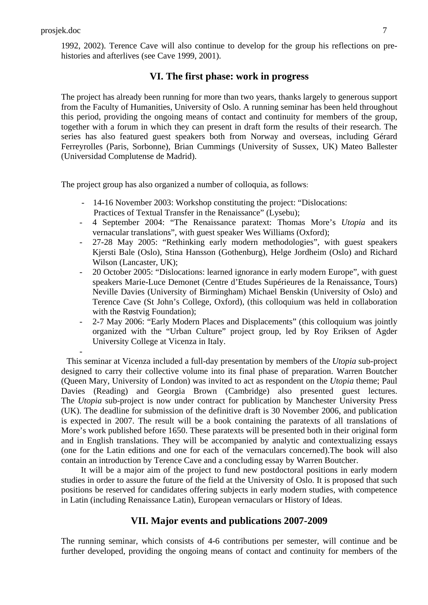-

1992, 2002). Terence Cave will also continue to develop for the group his reflections on prehistories and afterlives (see Cave 1999, 2001).

### **VI. The first phase: work in progress**

The project has already been running for more than two years, thanks largely to generous support from the Faculty of Humanities, University of Oslo. A running seminar has been held throughout this period, providing the ongoing means of contact and continuity for members of the group, together with a forum in which they can present in draft form the results of their research. The series has also featured guest speakers both from Norway and overseas, including Gérard Ferreyrolles (Paris, Sorbonne), Brian Cummings (University of Sussex, UK) Mateo Ballester (Universidad Complutense de Madrid).

The project group has also organized a number of colloquia, as follows:

- 14-16 November 2003: Workshop constituting the project: "Dislocations: Practices of Textual Transfer in the Renaissance" (Lysebu);
- 4 September 2004: "The Renaissance paratext: Thomas More's *Utopia* and its vernacular translations", with guest speaker Wes Williams (Oxford);
- 27-28 May 2005: "Rethinking early modern methodologies", with guest speakers Kjersti Bale (Oslo), Stina Hansson (Gothenburg), Helge Jordheim (Oslo) and Richard Wilson (Lancaster, UK);
- 20 October 2005: "Dislocations: learned ignorance in early modern Europe", with guest speakers Marie-Luce Demonet (Centre d'Etudes Supérieures de la Renaissance, Tours) Neville Davies (University of Birmingham) Michael Benskin (University of Oslo) and Terence Cave (St John's College, Oxford), (this colloquium was held in collaboration with the Røstvig Foundation);
- 2-7 May 2006: "Early Modern Places and Displacements" (this colloquium was jointly organized with the "Urban Culture" project group, led by Roy Eriksen of Agder University College at Vicenza in Italy.

This seminar at Vicenza included a full-day presentation by members of the *Utopia* sub-project designed to carry their collective volume into its final phase of preparation. Warren Boutcher (Queen Mary, University of London) was invited to act as respondent on the *Utopia* theme; Paul Davies (Reading) and Georgia Brown (Cambridge) also presented guest lectures. The *Utopia* sub-project is now under contract for publication by Manchester University Press (UK). The deadline for submission of the definitive draft is 30 November 2006, and publication is expected in 2007. The result will be a book containing the paratexts of all translations of More's work published before 1650. These paratexts will be presented both in their original form and in English translations. They will be accompanied by analytic and contextualizing essays (one for the Latin editions and one for each of the vernaculars concerned).The book will also contain an introduction by Terence Cave and a concluding essay by Warren Boutcher.

 It will be a major aim of the project to fund new postdoctoral positions in early modern studies in order to assure the future of the field at the University of Oslo. It is proposed that such positions be reserved for candidates offering subjects in early modern studies, with competence in Latin (including Renaissance Latin), European vernaculars or History of Ideas.

## **VII. Major events and publications 2007-2009**

The running seminar, which consists of 4-6 contributions per semester, will continue and be further developed, providing the ongoing means of contact and continuity for members of the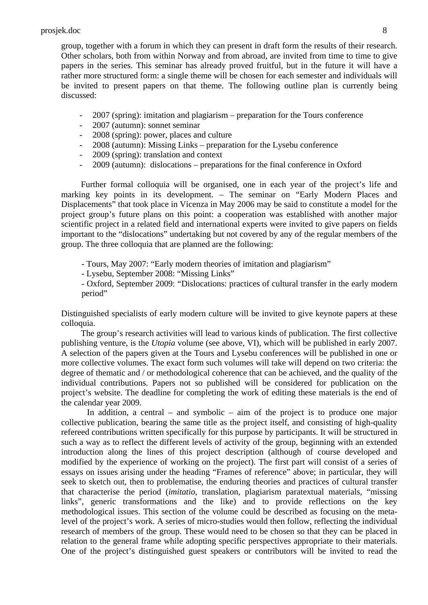group, together with a forum in which they can present in draft form the results of their research. Other scholars, both from within Norway and from abroad, are invited from time to time to give papers in the series. This seminar has already proved fruitful, but in the future it will have a rather more structured form: a single theme will be chosen for each semester and individuals will be invited to present papers on that theme. The following outline plan is currently being discussed:

- 2007 (spring): imitation and plagiarism preparation for the Tours conference
- 2007 (autumn): sonnet seminar
- 2008 (spring): power, places and culture
- 2008 (autumn): Missing Links preparation for the Lysebu conference
- 2009 (spring): translation and context
- 2009 (autumn): dislocations preparations for the final conference in Oxford

Further formal colloquia will be organised, one in each year of the project's life and marking key points in its development. – The seminar on "Early Modern Places and Displacements" that took place in Vicenza in May 2006 may be said to constitute a model for the project group's future plans on this point: a cooperation was established with another major scientific project in a related field and international experts were invited to give papers on fields important to the "dislocations" undertaking but not covered by any of the regular members of the group. The three colloquia that are planned are the following:

- Tours, May 2007: "Early modern theories of imitation and plagiarism"
- Lysebu, September 2008: "Missing Links"

- Oxford, September 2009: "Dislocations: practices of cultural transfer in the early modern period"

Distinguished specialists of early modern culture will be invited to give keynote papers at these colloquia.

 The group's research activities will lead to various kinds of publication. The first collective publishing venture, is the *Utopia* volume (see above, VI), which will be published in early 2007. A selection of the papers given at the Tours and Lysebu conferences will be published in one or more collective volumes. The exact form such volumes will take will depend on two criteria: the degree of thematic and / or methodological coherence that can be achieved, and the quality of the individual contributions. Papers not so published will be considered for publication on the project's website. The deadline for completing the work of editing these materials is the end of the calendar year 2009.

In addition, a central – and symbolic – aim of the project is to produce one major collective publication, bearing the same title as the project itself, and consisting of high-quality refereed contributions written specifically for this purpose by participants. It will be structured in such a way as to reflect the different levels of activity of the group, beginning with an extended introduction along the lines of this project description (although of course developed and modified by the experience of working on the project). The first part will consist of a series of essays on issues arising under the heading "Frames of reference" above; in particular, they will seek to sketch out, then to problematise, the enduring theories and practices of cultural transfer that characterise the period (*imitatio*, translation, plagiarism paratextual materials, "missing links", generic transformations and the like) and to provide reflections on the key methodological issues. This section of the volume could be described as focusing on the metalevel of the project's work. A series of micro-studies would then follow, reflecting the individual research of members of the group. These would need to be chosen so that they can be placed in relation to the general frame while adopting specific perspectives appropriate to their materials. One of the project's distinguished guest speakers or contributors will be invited to read the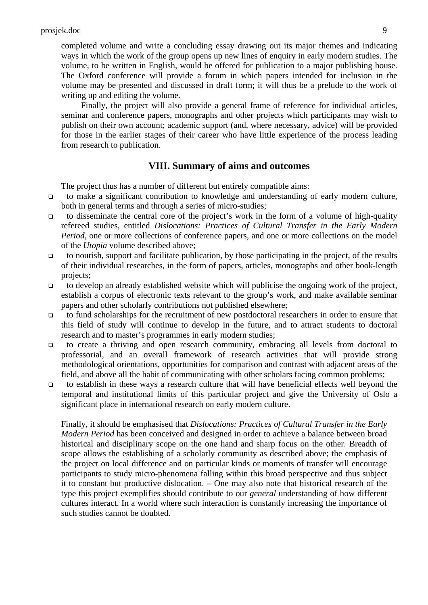completed volume and write a concluding essay drawing out its major themes and indicating ways in which the work of the group opens up new lines of enquiry in early modern studies. The volume, to be written in English, would be offered for publication to a major publishing house. The Oxford conference will provide a forum in which papers intended for inclusion in the volume may be presented and discussed in draft form; it will thus be a prelude to the work of writing up and editing the volume.

 Finally, the project will also provide a general frame of reference for individual articles, seminar and conference papers, monographs and other projects which participants may wish to publish on their own account; academic support (and, where necessary, advice) will be provided for those in the earlier stages of their career who have little experience of the process leading from research to publication.

## **VIII. Summary of aims and outcomes**

The project thus has a number of different but entirely compatible aims:

- to make a significant contribution to knowledge and understanding of early modern culture, both in general terms and through a series of micro-studies;
- to disseminate the central core of the project's work in the form of a volume of high-quality refereed studies, entitled *Dislocations: Practices of Cultural Transfer in the Early Modern Period*, one or more collections of conference papers, and one or more collections on the model of the *Utopia* volume described above;
- to nourish, support and facilitate publication, by those participating in the project, of the results of their individual researches, in the form of papers, articles, monographs and other book-length projects;
- to develop an already established website which will publicise the ongoing work of the project, establish a corpus of electronic texts relevant to the group's work, and make available seminar papers and other scholarly contributions not published elsewhere;
- to fund scholarships for the recruitment of new postdoctoral researchers in order to ensure that this field of study will continue to develop in the future, and to attract students to doctoral research and to master's programmes in early modern studies;
- to create a thriving and open research community, embracing all levels from doctoral to professorial, and an overall framework of research activities that will provide strong methodological orientations, opportunities for comparison and contrast with adjacent areas of the field, and above all the habit of communicating with other scholars facing common problems;
- to establish in these ways a research culture that will have beneficial effects well beyond the temporal and institutional limits of this particular project and give the University of Oslo a significant place in international research on early modern culture.

Finally, it should be emphasised that *Dislocations: Practices of Cultural Transfer in the Early Modern Period* has been conceived and designed in order to achieve a balance between broad historical and disciplinary scope on the one hand and sharp focus on the other. Breadth of scope allows the establishing of a scholarly community as described above; the emphasis of the project on local difference and on particular kinds or moments of transfer will encourage participants to study micro-phenomena falling within this broad perspective and thus subject it to constant but productive dislocation. – One may also note that historical research of the type this project exemplifies should contribute to our *general* understanding of how different cultures interact. In a world where such interaction is constantly increasing the importance of such studies cannot be doubted.